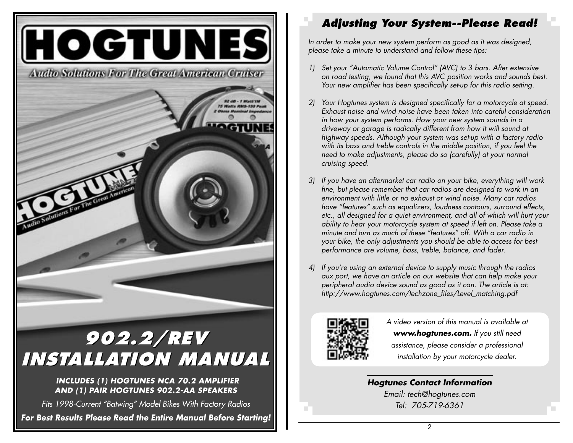

#### **Adjusting Your System--Please Read!**

In order to make your new system perform as good as it was designed, please take a minute to understand and follow these tips:

- 1) Set your "Automatic Volume Control" (AVC) to 3 bars. After extensive on road testing, we found that this AVC position works and sounds best. Your new amplifier has been specifically set-up for this radio setting.
- 2) Your Hogtunes system is designed specifically for a motorcycle at speed. Exhaust noise and wind noise have been taken into careful consideration in how your system performs. How your new system sounds in a driveway or garage is radically different from how it will sound at highway speeds. Although your system was set-up with a factory radio with its bass and treble controls in the middle position, if you feel the need to make adjustments, please do so (carefully) at your normal cruising speed.
- 3) If you have an aftermarket car radio on your bike, everything will work fine, but please remember that car radios are designed to work in an environment with little or no exhaust or wind noise. Many car radios have "features" such as equalizers, loudness contours, surround effects, etc., all designed for a quiet environment, and all of which will hurt your ability to hear your motorcycle system at speed if left on. Please take a minute and turn as much of these "features" off. With a car radio in your bike, the only adjustments you should be able to access for best performance are volume, bass, treble, balance, and fader.
- 4) If you're using an external device to supply music through the radios aux port, we have an article on our website that can help make your peripheral audio device sound as good as it can. The article is at: http://www.hogtunes.com/techzone\_files/Level\_matching.pdf



A video version of this manual is available at www.hogtunes.com. If you still need assistance, please consider a professional installation by your motorcycle dealer.

#### **Hogtunes Contact Information** Email: tech@hogtunes.com Tel: 705-719-6361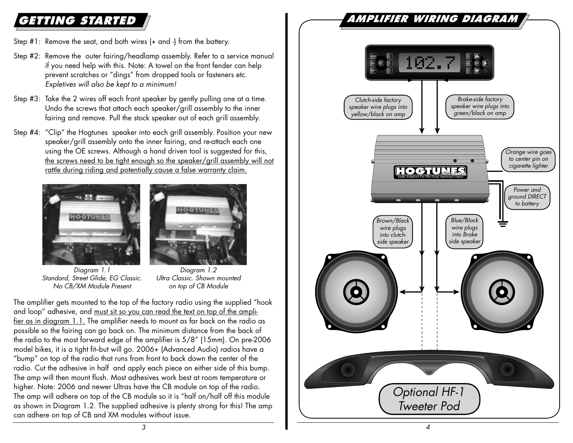# **GETTING STARTED**

- Step #1: Remove the seat, and both wires (+ and -) from the battery.
- Step #2: Remove the outer fairing/headlamp assembly. Refer to a service manual if you need help with this. Note: A towel on the front fender can help prevent scratches or "dings" from dropped tools or fasteners etc. Expletives will also be kept to a minimum!
- Step #3: Take the 2 wires off each front speaker by gently pulling one at a time. Undo the screws that attach each speaker/grill assembly to the inner fairing and remove. Pull the stock speaker out of each grill assembly.
- Step #4: "Clip" the Hogtunes speaker into each grill assembly. Position your new speaker/grill assembly onto the inner fairing, and re-attach each one using the OE screws. Although a hand driven tool is suggested for this, the screws need to be tight enough so the speaker/grill assembly will not rattle during riding and potentially cause a false warranty claim.





Diagram 1.1 Standard, Street Glide, EG Classic. No CB/XM Module Present

Diagram 1.2 Ultra Classic. Shown mounted on top of CB Module

The amplifier gets mounted to the top of the factory radio using the supplied "hook and loop" adhesive, and must sit so you can read the text on top of the amplifier as in diagram 1.1. The amplifier needs to mount as far back on the radio as possible so the fairing can go back on. The minimum distance from the back of the radio to the most forward edge of the amplifier is 5/8" (15mm). On pre-2006 model bikes, it is a tight fit-but will go. 2006+ (Advanced Audio) radios have a "bump" on top of the radio that runs from front to back down the center of the radio. Cut the adhesive in half and apply each piece on either side of this bump. The amp will then mount flush. Most adhesives work best at room temperature or higher. Note: 2006 and newer Ultras have the CB module on top of the radio. The amp will adhere on top of the CB module so it is "half on/half off this module as shown in Diagram 1.2. The supplied adhesive is plenty strong for this! The amp can adhere on top of CB and XM modules without issue.

## **AMPLIFIER WIRING DIAGRAM**

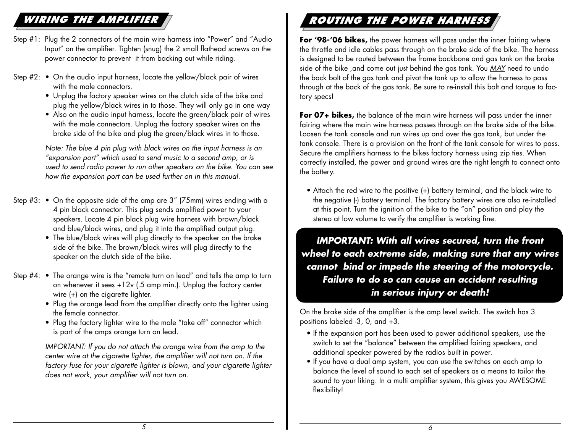## **WIRING THE AMPLIFIER**

- Step #1: Plug the 2 connectors of the main wire harness into "Power" and "Audio Input" on the amplifier. Tighten (snug) the 2 small flathead screws on the power connector to prevent it from backing out while riding.
- Step #2: On the audio input harness, locate the yellow/black pair of wires with the male connectors.
	- Unplug the factory speaker wires on the clutch side of the bike and plug the yellow/black wires in to those. They will only go in one way
	- Also on the audio input harness, locate the green/black pair of wires with the male connectors. Unplug the factory speaker wires on the brake side of the bike and plug the green/black wires in to those.

 Note: The blue 4 pin plug with black wires on the input harness is an "expansion port" which used to send music to a second amp, or is used to send radio power to run other speakers on the bike. You can see how the expansion port can be used further on in this manual.

- Step #3: On the opposite side of the amp are 3" (75mm) wires ending with a 4 pin black connector. This plug sends amplified power to your speakers. Locate 4 pin black plug wire harness with brown/black and blue/black wires, and plug it into the amplified output plug.
	- The blue/black wires will plug directly to the speaker on the brake side of the bike. The brown/black wires will plug directly to the speaker on the clutch side of the bike.
- Step #4: The orange wire is the "remote turn on lead" and tells the amp to turn on whenever it sees +12v (.5 amp min.). Unplug the factory center wire  $(+)$  on the cigarette lighter.
	- Plug the orange lead from the amplifier directly onto the lighter using the female connector.
	- Plug the factory lighter wire to the male "take off" connector which is part of the amps orange turn on lead.

IMPORTANT: If you do not attach the orange wire from the amp to the center wire at the cigarette lighter, the amplifier will not turn on. If the factory fuse for your cigarette lighter is blown, and your cigarette lighter does not work, your amplifier will not turn on.

### **ROUTING THE POWER HARNES**

For '98-'06 bikes, the power harness will pass under the inner fairing where the throttle and idle cables pass through on the brake side of the bike. The harness is designed to be routed between the frame backbone and gas tank on the brake side of the bike, and come out just behind the gas tank. You MAY need to undo the back bolt of the gas tank and pivot the tank up to allow the harness to pass through at the back of the gas tank. Be sure to re-install this bolt and torque to factory specs!

**For 07+ bikes,** the balance of the main wire harness will pass under the inner fairing where the main wire harness passes through on the brake side of the bike. Loosen the tank console and run wires up and over the gas tank, but under the tank console. There is a provision on the front of the tank console for wires to pass. Secure the amplifiers harness to the bikes factory harness using zip ties. When correctly installed, the power and ground wires are the right length to connect onto the battery.

 • Attach the red wire to the positive (+) battery terminal, and the black wire to the negative (-) battery terminal. The factory battery wires are also re-installed at this point. Turn the ignition of the bike to the "on" position and play the stereo at low volume to verify the amplifier is working fine.

**IMPORTANT: With all wires secured, turn the front wheel to each extreme side, making sure that any wires cannot bind or impede the steering of the motorcycle. Failure to do so can cause an accident resulting in serious injury or death!**

On the brake side of the amplifier is the amp level switch. The switch has 3 positions labeled -3, 0, and +3.

- If the expansion port has been used to power additional speakers, use the switch to set the "balance" between the amplified fairing speakers, and additional speaker powered by the radios built in power.
- If you have a dual amp system, you can use the switches on each amp to balance the level of sound to each set of speakers as a means to tailor the sound to your liking. In a multi amplifier system, this gives you AWESOME flexibility!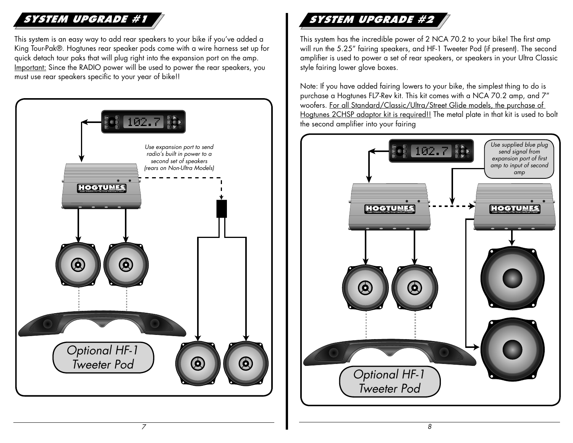## **SYSTEM UPGRADE #1**

This system is an easy way to add rear speakers to your bike if you've added a King Tour-Pak®. Hogtunes rear speaker pods come with a wire harness set up for quick detach tour paks that will plug right into the expansion port on the amp. Important: Since the RADIO power will be used to power the rear speakers, you must use rear speakers specific to your year of bike!!



# **SYSTEM UPGRADE #2**

This system has the incredible power of 2 NCA 70.2 to your bike! The first amp will run the 5.25" fairing speakers, and HF-1 Tweeter Pod (if present). The second amplifier is used to power a set of rear speakers, or speakers in your Ultra Classic style fairing lower glove boxes.

Note: If you have added fairing lowers to your bike, the simplest thing to do is purchase a Hogtunes FL7-Rev kit. This kit comes with a NCA 70.2 amp, and 7" woofers. For all Standard/Classic/Ultra/Street Glide models, the purchase of Hogtunes 2CHSP adaptor kit is required!! The metal plate in that kit is used to bolt the second amplifier into your fairing

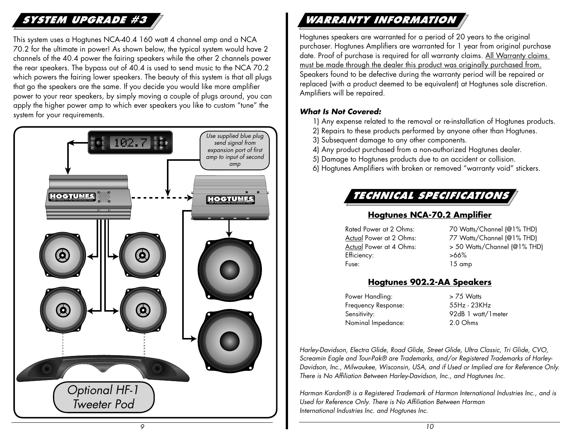## **SYSTEM UPGRADE #3**

This system uses a Hogtunes NCA-40.4 160 watt 4 channel amp and a NCA 70.2 for the ultimate in power! As shown below, the typical system would have 2 channels of the 40.4 power the fairing speakers while the other 2 channels power the rear speakers. The bypass out of 40.4 is used to send music to the NCA 70.2 which powers the fairing lower speakers. The beauty of this system is that all plugs that go the speakers are the same. If you decide you would like more amplifier power to your rear speakers, by simply moving a couple of plugs around, you can apply the higher power amp to which ever speakers you like to custom "tune" the system for your requirements.



# **WARRANTY INFORMATION**

Hogtunes speakers are warranted for a period of 20 years to the original purchaser. Hogtunes Amplifiers are warranted for 1 year from original purchase date. Proof of purchase is required for all warranty claims. All Warranty claims must be made through the dealer this product was originally purchased from. Speakers found to be defective during the warranty period will be repaired or replaced (with a product deemed to be equivalent) at Hogtunes sole discretion. Amplifiers will be repaired.

#### **What Is Not Covered:**

- 1) Any expense related to the removal or re-installation of Hogtunes products.
- 2) Repairs to these products performed by anyone other than Hogtunes.
- 3) Subsequent damage to any other components.
- 4) Any product purchased from a non-authorized Hogtunes dealer.
- 5) Damage to Hogtunes products due to an accident or collision.
- 6) Hogtunes Amplifiers with broken or removed "warranty void" stickers.

#### **TECHNICAL SPECIFICATIONS**

#### **Hogtunes NCA-70.2 Amplifier**

| Rated Power at 2 Ohms:  | 70 Wat   |
|-------------------------|----------|
| Actual Power at 2 Ohms: | 77 Wat   |
| Actual Power at 4 Ohms: | > 50 W   |
| Efficiency:             | >66%     |
| Fuse:                   | $15$ amp |

Gtts/Channel (@1% THD) Acts/Channel (@1% THD) Watts/Channel (@1% THD)

#### **Hogtunes 902.2-AA Speakers**

Power Handling: > 75 Watts Frequency Response: 55Hz - 23KHz Nominal Impedance: 2.0 Ohms

Sensitivity: 92dB 1 watt/1 meter

Harley-Davidson, Electra Glide, Road Glide, Street Glide, Ultra Classic, Tri Glide, CVO, Screamin Eagle and Tour-Pak® are Trademarks, and/or Registered Trademarks of Harley-Davidson, Inc., Milwaukee, Wisconsin, USA, and if Used or Implied are for Reference Only. There is No Affiliation Between Harley-Davidson, Inc., and Hogtunes Inc.

Harman Kardon® is a Registered Trademark of Harmon International Industries Inc., and is Used for Reference Only. There is No Affiliation Between Harman International Industries Inc. and Hogtunes Inc.

9